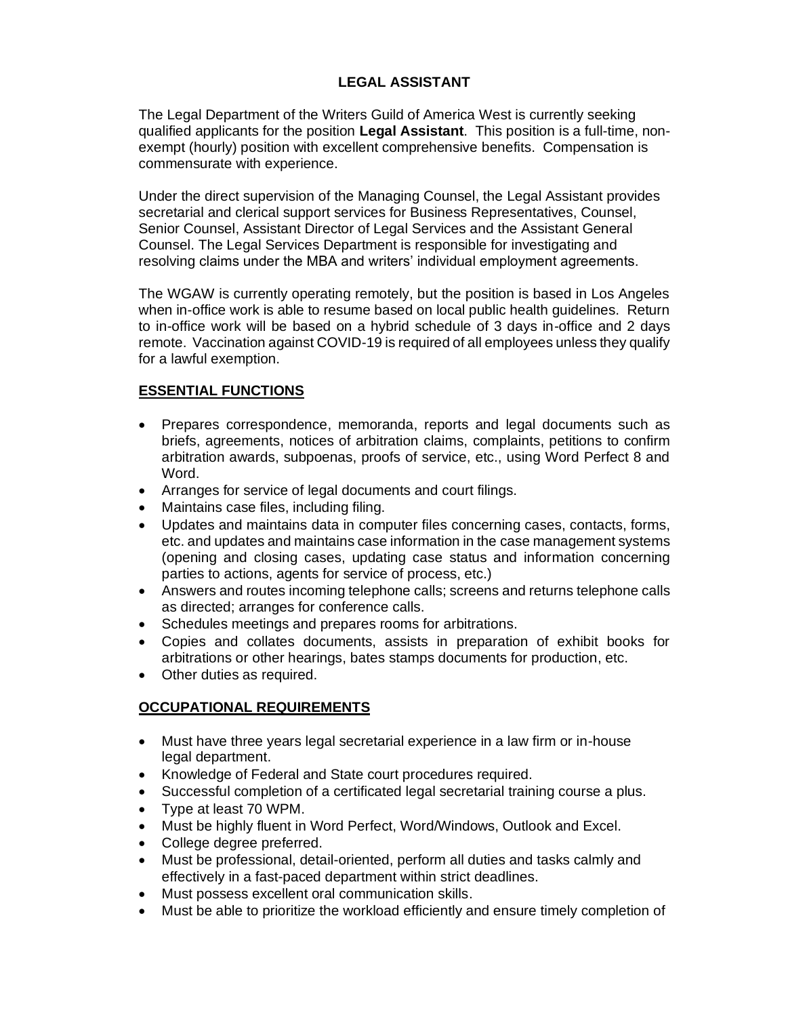## **LEGAL ASSISTANT**

The Legal Department of the Writers Guild of America West is currently seeking qualified applicants for the position **Legal Assistant**. This position is a full-time, nonexempt (hourly) position with excellent comprehensive benefits. Compensation is commensurate with experience.

Under the direct supervision of the Managing Counsel, the Legal Assistant provides secretarial and clerical support services for Business Representatives, Counsel, Senior Counsel, Assistant Director of Legal Services and the Assistant General Counsel. The Legal Services Department is responsible for investigating and resolving claims under the MBA and writers' individual employment agreements.

The WGAW is currently operating remotely, but the position is based in Los Angeles when in-office work is able to resume based on local public health guidelines. Return to in-office work will be based on a hybrid schedule of 3 days in-office and 2 days remote. Vaccination against COVID-19 is required of all employees unless they qualify for a lawful exemption.

## **ESSENTIAL FUNCTIONS**

- Prepares correspondence, memoranda, reports and legal documents such as briefs, agreements, notices of arbitration claims, complaints, petitions to confirm arbitration awards, subpoenas, proofs of service, etc., using Word Perfect 8 and Word.
- Arranges for service of legal documents and court filings.
- Maintains case files, including filing.
- Updates and maintains data in computer files concerning cases, contacts, forms, etc. and updates and maintains case information in the case management systems (opening and closing cases, updating case status and information concerning parties to actions, agents for service of process, etc.)
- Answers and routes incoming telephone calls; screens and returns telephone calls as directed; arranges for conference calls.
- Schedules meetings and prepares rooms for arbitrations.
- Copies and collates documents, assists in preparation of exhibit books for arbitrations or other hearings, bates stamps documents for production, etc.
- Other duties as required.

## **OCCUPATIONAL REQUIREMENTS**

- Must have three years legal secretarial experience in a law firm or in-house legal department.
- Knowledge of Federal and State court procedures required.
- Successful completion of a certificated legal secretarial training course a plus.
- Type at least 70 WPM.
- Must be highly fluent in Word Perfect, Word/Windows, Outlook and Excel.
- College degree preferred.
- Must be professional, detail-oriented, perform all duties and tasks calmly and effectively in a fast-paced department within strict deadlines.
- Must possess excellent oral communication skills.
- Must be able to prioritize the workload efficiently and ensure timely completion of